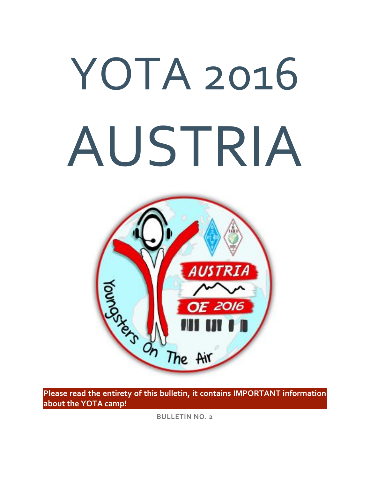# YOTA 2016 AUSTRIA



**Please read the entirety of this bulletin, it contains IMPORTANT information about the YOTA camp!**

**BULLETIN NO. 2**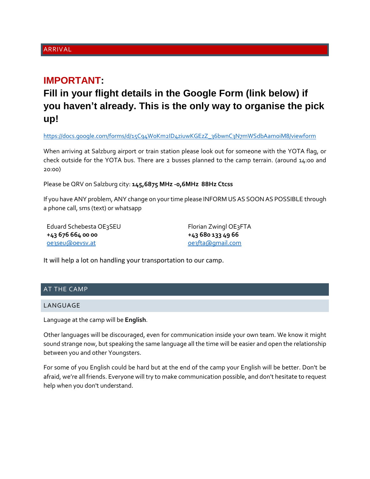# ARRIVAL

# **IMPORTANT:**

**Fill in your flight details in the Google Form (link below) if you haven't already. This is the only way to organise the pick up!**

[https://docs.google.com/forms/d/15C94WoKm2ID4ziuwKGEzZ\\_36bwnC3N7mWSdbAamoiM8/viewform](https://docs.google.com/forms/d/15C94WoKm2ID4ziuwKGEzZ_36bwnC3N7mWSdbAamoiM8/viewform)

When arriving at Salzburg airport or train station please look out for someone with the YOTA flag, or check outside for the YOTA bus. There are 2 busses planned to the camp terrain. (around 14:00 and 20:00)

Please be QRV on Salzburg city: **145,6875 MHz -0,6MHz 88Hz Ctcss**

If you have ANY problem, ANY change on your time please INFORM US AS SOON AS POSSIBLE through a phone call, sms (text) or whatsapp

Eduard Schebesta OE3SEU **+43 676 664 00 00** [oe3seu@oevsv.at](mailto:oe3seu@oevsv.at)

Florian Zwingl OE3FTA **+43 680 133 49 66** [oe3fta@gmail.com](mailto:oe3fta@gmail.com)

It will help a lot on handling your transportation to our camp.

# AT THE CAMP

#### LANGUAGE

Language at the camp will be **English**.

Other languages will be discouraged, even for communication inside your own team. We know it might sound strange now, but speaking the same language all the time will be easier and open the relationship between you and other Youngsters.

For some of you English could be hard but at the end of the camp your English will be better. Don't be afraid, we're all friends. Everyone will try to make communication possible, and don't hesitate to request help when you don't understand.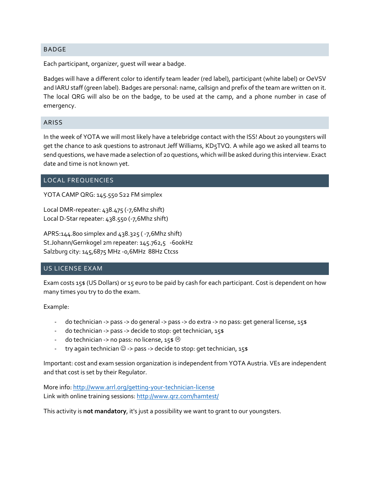#### BADGE

Each participant, organizer, guest will wear a badge.

Badges will have a different color to identify team leader (red label), participant (white label) or OeVSV and IARU staff (green label). Badges are personal: name, callsign and prefix of the team are written on it. The local QRG will also be on the badge, to be used at the camp, and a phone number in case of emergency.

#### ARISS

In the week of YOTA we will most likely have a telebridge contact with the ISS! About 20 youngsters will get the chance to ask questions to astronaut Jeff Williams, KD5TVQ. A while ago we asked all teams to send questions, we have made a selection of 20 questions, which will be asked during this interview. Exact date and time is not known yet.

#### LOCAL FREQUENCIES

YOTA CAMP QRG: 145.550 S22 FM simplex

Local DMR-repeater: 438.475 (-7,6Mhz shift) Local D-Star repeater: 438.550 (-7,6Mhz shift)

APRS:144.800 simplex and 438.325 ( -7,6Mhz shift) St.Johann/Gernkogel 2m repeater: 145.762,5 -600kHz Salzburg city: 145,6875 MHz -0,6MHz 88Hz Ctcss

#### US LICENSE EXAM

Exam costs 15\$ (US Dollars) or 15 euro to be paid by cash for each participant. Cost is dependent on how many times you try to do the exam.

Example:

- do technician -> pass -> do general -> pass -> do extra -> no pass: get general license, 15\$
- do technician -> pass -> decide to stop: get technician, 15\$
- do technician -> no pass: no license,  $15$ \$  $\circledcirc$
- try again technician  $\odot$  -> pass -> decide to stop: get technician, 15\$

Important: cost and exam session organization is independent from YOTA Austria. VEs are independent and that cost is set by their Regulator.

More info: <http://www.arrl.org/getting-your-technician-license> Link with online training sessions: <http://www.qrz.com/hamtest/>

This activity is **not mandatory**, it's just a possibility we want to grant to our youngsters.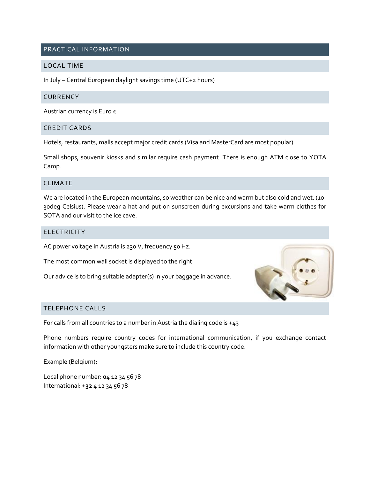# PRACTICAL INFORMATION

#### LOCAL TIME

In July – Central European daylight savings time (UTC+2 hours)

#### **CURRENCY**

Austrian currency is Euro €

#### CREDIT CARDS

Hotels, restaurants, malls accept major credit cards (Visa and MasterCard are most popular).

Small shops, souvenir kiosks and similar require cash payment. There is enough ATM close to YOTA Camp.

# CLIMATE

We are located in the European mountains, so weather can be nice and warm but also cold and wet. (10- 30deg Celsius). Please wear a hat and put on sunscreen during excursions and take warm clothes for SOTA and our visit to the ice cave.

#### ELECTRICITY

AC power voltage in Austria is 230 V, frequency 50 Hz.

The most common wall socket is displayed to the right:

Our advice is to bring suitable adapter(s) in your baggage in advance.



## TELEPHONE CALLS

For calls from all countries to a number in Austria the dialing code is  $+43$ 

Phone numbers require country codes for international communication, if you exchange contact information with other youngsters make sure to include this country code.

Example (Belgium):

Local phone number: **0**4 12 34 56 78 International: **+32** 4 12 34 56 78